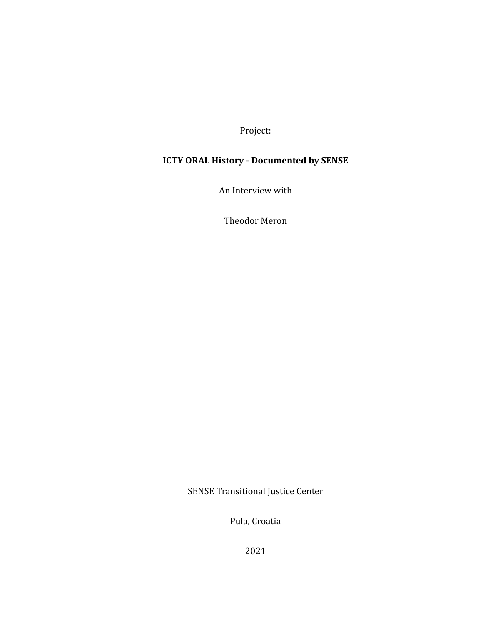Project:

# **ICTY ORAL History - Documented by SENSE**

An Interview with

Theodor Meron

SENSE Transitional Justice Center

Pula, Croatia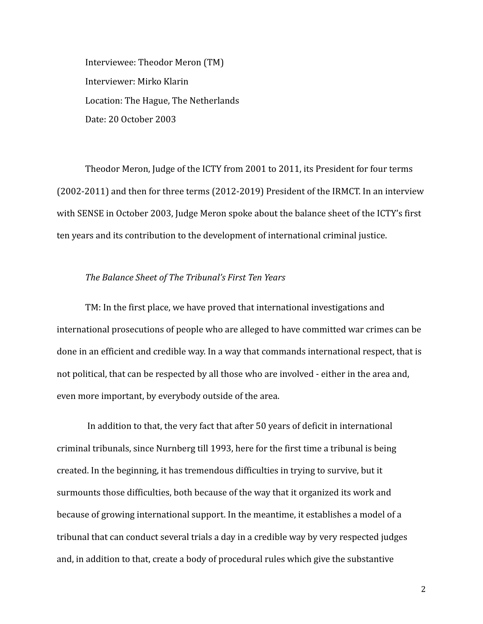Interviewee: Theodor Meron (TM) Interviewer: Mirko Klarin Location: The Hague, The Netherlands Date: 20 October 2003

Theodor Meron, Judge of the ICTY from 2001 to 2011, its President for four terms (2002-2011) and then for three terms (2012-2019) President of the IRMCT. In an interview with SENSE in October 2003, Judge Meron spoke about the balance sheet of the ICTY's first ten years and its contribution to the development of international criminal justice.

# *The Balance Sheet of The Tribunal's First Ten Years*

TM: In the first place, we have proved that international investigations and international prosecutions of people who are alleged to have committed war crimes can be done in an efficient and credible way. In a way that commands international respect, that is not political, that can be respected by all those who are involved - either in the area and, even more important, by everybody outside of the area.

In addition to that, the very fact that after 50 years of deficit in international criminal tribunals, since Nurnberg till 1993, here for the first time a tribunal is being created. In the beginning, it has tremendous difficulties in trying to survive, but it surmounts those difficulties, both because of the way that it organized its work and because of growing international support. In the meantime, it establishes a model of a tribunal that can conduct several trials a day in a credible way by very respected judges and, in addition to that, create a body of procedural rules which give the substantive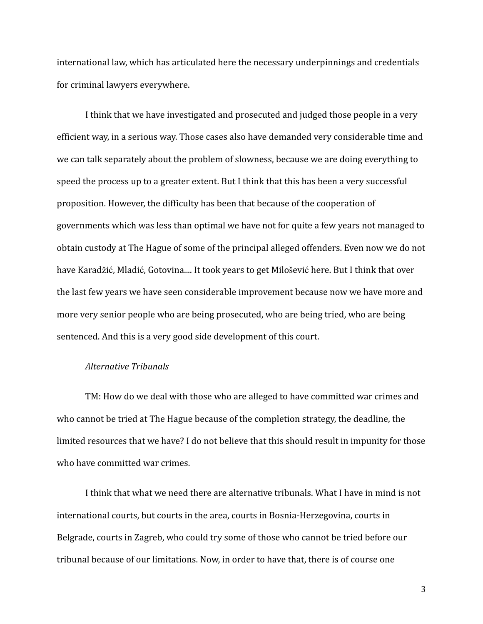international law, which has articulated here the necessary underpinnings and credentials for criminal lawyers everywhere.

I think that we have investigated and prosecuted and judged those people in a very efficient way, in a serious way. Those cases also have demanded very considerable time and we can talk separately about the problem of slowness, because we are doing everything to speed the process up to a greater extent. But I think that this has been a very successful proposition. However, the difficulty has been that because of the cooperation of governments which was less than optimal we have not for quite a few years not managed to obtain custody at The Hague of some of the principal alleged offenders. Even now we do not have Karadžić, Mladić, Gotovina.... It took years to get Milošević here. But I think that over the last few years we have seen considerable improvement because now we have more and more very senior people who are being prosecuted, who are being tried, who are being sentenced. And this is a very good side development of this court.

#### *Alternative Tribunals*

TM: How do we deal with those who are alleged to have committed war crimes and who cannot be tried at The Hague because of the completion strategy, the deadline, the limited resources that we have? I do not believe that this should result in impunity for those who have committed war crimes.

I think that what we need there are alternative tribunals. What I have in mind is not international courts, but courts in the area, courts in Bosnia-Herzegovina, courts in Belgrade, courts in Zagreb, who could try some of those who cannot be tried before our tribunal because of our limitations. Now, in order to have that, there is of course one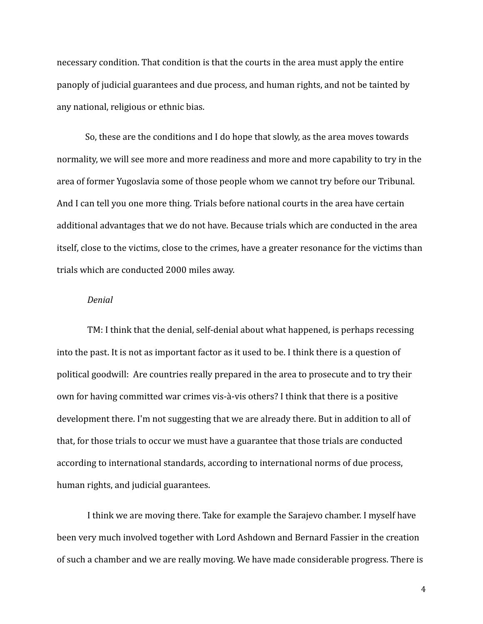necessary condition. That condition is that the courts in the area must apply the entire panoply of judicial guarantees and due process, and human rights, and not be tainted by any national, religious or ethnic bias.

So, these are the conditions and I do hope that slowly, as the area moves towards normality, we will see more and more readiness and more and more capability to try in the area of former Yugoslavia some of those people whom we cannot try before our Tribunal. And I can tell you one more thing. Trials before national courts in the area have certain additional advantages that we do not have. Because trials which are conducted in the area itself, close to the victims, close to the crimes, have a greater resonance for the victims than trials which are conducted 2000 miles away.

# *Denial*

TM: I think that the denial, self-denial about what happened, is perhaps recessing into the past. It is not as important factor as it used to be. I think there is a question of political goodwill: Are countries really prepared in the area to prosecute and to try their own for having committed war crimes vis-à-vis others? I think that there is a positive development there. I'm not suggesting that we are already there. But in addition to all of that, for those trials to occur we must have a guarantee that those trials are conducted according to international standards, according to international norms of due process, human rights, and judicial guarantees.

I think we are moving there. Take for example the Sarajevo chamber. I myself have been very much involved together with Lord Ashdown and Bernard Fassier in the creation of such a chamber and we are really moving. We have made considerable progress. There is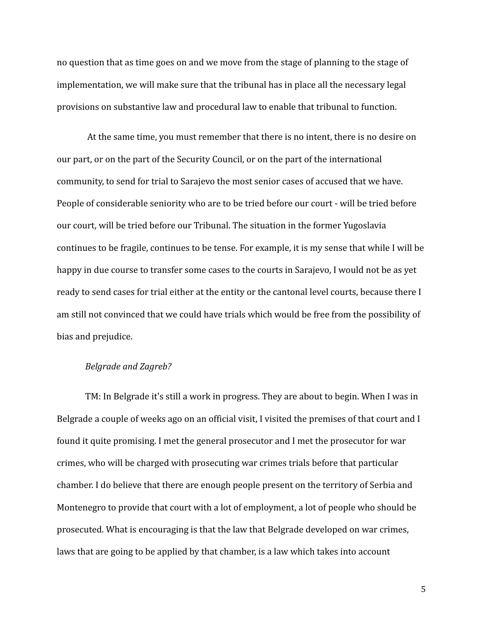no question that as time goes on and we move from the stage of planning to the stage of implementation, we will make sure that the tribunal has in place all the necessary legal provisions on substantive law and procedural law to enable that tribunal to function.

At the same time, you must remember that there is no intent, there is no desire on our part, or on the part of the Security Council, or on the part of the international community, to send for trial to Sarajevo the most senior cases of accused that we have. People of considerable seniority who are to be tried before our court - will be tried before our court, will be tried before our Tribunal. The situation in the former Yugoslavia continues to be fragile, continues to be tense. For example, it is my sense that while I will be happy in due course to transfer some cases to the courts in Sarajevo, I would not be as yet ready to send cases for trial either at the entity or the cantonal level courts, because there I am still not convinced that we could have trials which would be free from the possibility of bias and prejudice.

### *Belgrade and Zagreb?*

TM: In Belgrade it's still a work in progress. They are about to begin. When I was in Belgrade a couple of weeks ago on an official visit, I visited the premises of that court and I found it quite promising. I met the general prosecutor and I met the prosecutor for war crimes, who will be charged with prosecuting war crimes trials before that particular chamber. I do believe that there are enough people present on the territory of Serbia and Montenegro to provide that court with a lot of employment, a lot of people who should be prosecuted. What is encouraging is that the law that Belgrade developed on war crimes, laws that are going to be applied by that chamber, is a law which takes into account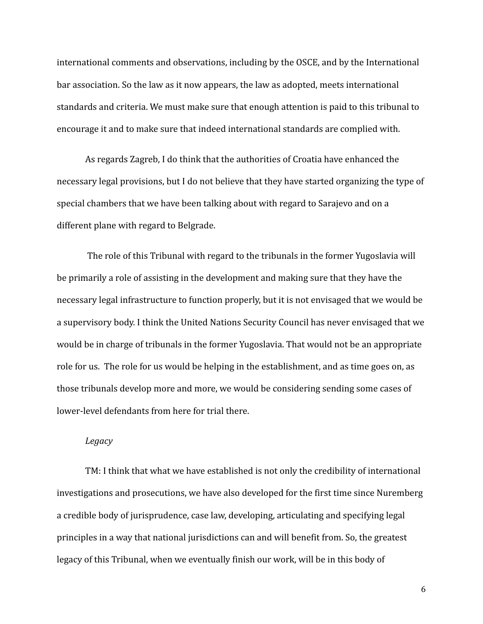international comments and observations, including by the OSCE, and by the International bar association. So the law as it now appears, the law as adopted, meets international standards and criteria. We must make sure that enough attention is paid to this tribunal to encourage it and to make sure that indeed international standards are complied with.

As regards Zagreb, I do think that the authorities of Croatia have enhanced the necessary legal provisions, but I do not believe that they have started organizing the type of special chambers that we have been talking about with regard to Sarajevo and on a different plane with regard to Belgrade.

The role of this Tribunal with regard to the tribunals in the former Yugoslavia will be primarily a role of assisting in the development and making sure that they have the necessary legal infrastructure to function properly, but it is not envisaged that we would be a supervisory body. I think the United Nations Security Council has never envisaged that we would be in charge of tribunals in the former Yugoslavia. That would not be an appropriate role for us. The role for us would be helping in the establishment, and as time goes on, as those tribunals develop more and more, we would be considering sending some cases of lower-level defendants from here for trial there.

#### *Legacy*

TM: I think that what we have established is not only the credibility of international investigations and prosecutions, we have also developed for the first time since Nuremberg a credible body of jurisprudence, case law, developing, articulating and specifying legal principles in a way that national jurisdictions can and will benefit from. So, the greatest legacy of this Tribunal, when we eventually finish our work, will be in this body of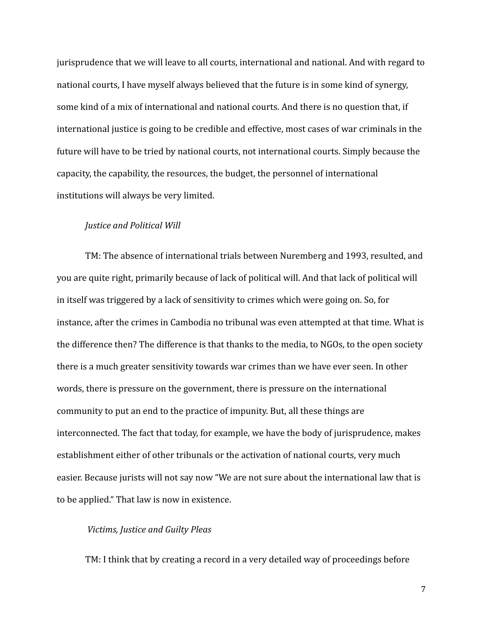jurisprudence that we will leave to all courts, international and national. And with regard to national courts, I have myself always believed that the future is in some kind of synergy, some kind of a mix of international and national courts. And there is no question that, if international justice is going to be credible and effective, most cases of war criminals in the future will have to be tried by national courts, not international courts. Simply because the capacity, the capability, the resources, the budget, the personnel of international institutions will always be very limited.

## *Justice and Political Will*

TM: The absence of international trials between Nuremberg and 1993, resulted, and you are quite right, primarily because of lack of political will. And that lack of political will in itself was triggered by a lack of sensitivity to crimes which were going on. So, for instance, after the crimes in Cambodia no tribunal was even attempted at that time. What is the difference then? The difference is that thanks to the media, to NGOs, to the open society there is a much greater sensitivity towards war crimes than we have ever seen. In other words, there is pressure on the government, there is pressure on the international community to put an end to the practice of impunity. But, all these things are interconnected. The fact that today, for example, we have the body of jurisprudence, makes establishment either of other tribunals or the activation of national courts, very much easier. Because jurists will not say now "We are not sure about the international law that is to be applied." That law is now in existence.

# *Victims, Justice and Guilty Pleas*

TM: I think that by creating a record in a very detailed way of proceedings before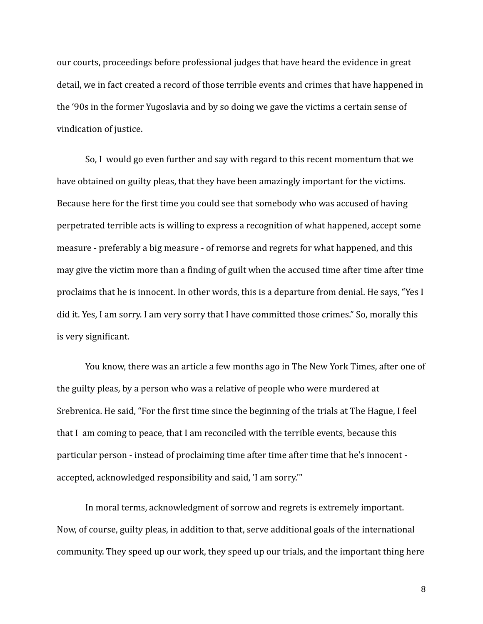our courts, proceedings before professional judges that have heard the evidence in great detail, we in fact created a record of those terrible events and crimes that have happened in the '90s in the former Yugoslavia and by so doing we gave the victims a certain sense of vindication of justice.

So, I would go even further and say with regard to this recent momentum that we have obtained on guilty pleas, that they have been amazingly important for the victims. Because here for the first time you could see that somebody who was accused of having perpetrated terrible acts is willing to express a recognition of what happened, accept some measure - preferably a big measure - of remorse and regrets for what happened, and this may give the victim more than a finding of guilt when the accused time after time after time proclaims that he is innocent. In other words, this is a departure from denial. He says, "Yes I did it. Yes, I am sorry. I am very sorry that I have committed those crimes." So, morally this is very significant.

You know, there was an article a few months ago in The New York Times, after one of the guilty pleas, by a person who was a relative of people who were murdered at Srebrenica. He said, "For the first time since the beginning of the trials at The Hague, I feel that I am coming to peace, that I am reconciled with the terrible events, because this particular person - instead of proclaiming time after time after time that he's innocent accepted, acknowledged responsibility and said, 'I am sorry.'"

In moral terms, acknowledgment of sorrow and regrets is extremely important. Now, of course, guilty pleas, in addition to that, serve additional goals of the international community. They speed up our work, they speed up our trials, and the important thing here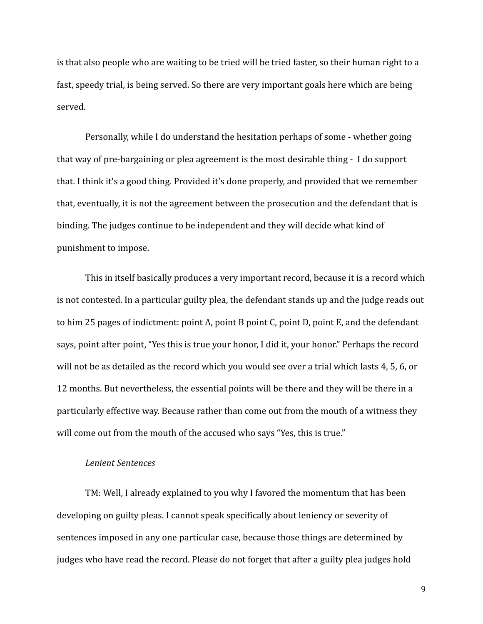is that also people who are waiting to be tried will be tried faster, so their human right to a fast, speedy trial, is being served. So there are very important goals here which are being served.

Personally, while I do understand the hesitation perhaps of some - whether going that way of pre-bargaining or plea agreement is the most desirable thing - I do support that. I think it's a good thing. Provided it's done properly, and provided that we remember that, eventually, it is not the agreement between the prosecution and the defendant that is binding. The judges continue to be independent and they will decide what kind of punishment to impose.

This in itself basically produces a very important record, because it is a record which is not contested. In a particular guilty plea, the defendant stands up and the judge reads out to him 25 pages of indictment: point A, point B point C, point D, point E, and the defendant says, point after point, "Yes this is true your honor, I did it, your honor." Perhaps the record will not be as detailed as the record which you would see over a trial which lasts 4, 5, 6, or 12 months. But nevertheless, the essential points will be there and they will be there in a particularly effective way. Because rather than come out from the mouth of a witness they will come out from the mouth of the accused who says "Yes, this is true."

### *Lenient Sentences*

TM: Well, I already explained to you why I favored the momentum that has been developing on guilty pleas. I cannot speak specifically about leniency or severity of sentences imposed in any one particular case, because those things are determined by judges who have read the record. Please do not forget that after a guilty plea judges hold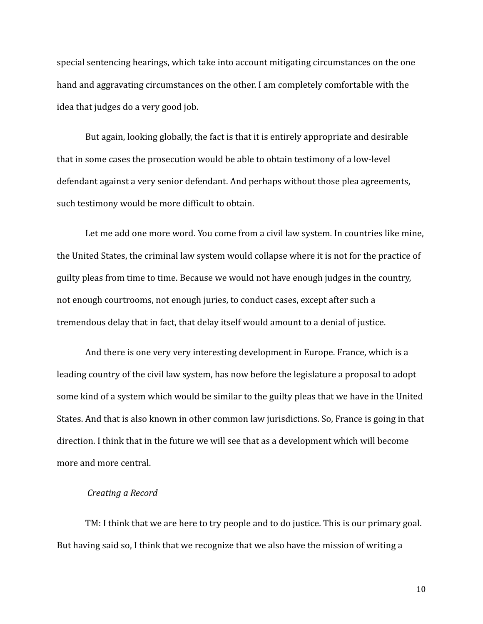special sentencing hearings, which take into account mitigating circumstances on the one hand and aggravating circumstances on the other. I am completely comfortable with the idea that judges do a very good job.

But again, looking globally, the fact is that it is entirely appropriate and desirable that in some cases the prosecution would be able to obtain testimony of a low-level defendant against a very senior defendant. And perhaps without those plea agreements, such testimony would be more difficult to obtain.

Let me add one more word. You come from a civil law system. In countries like mine, the United States, the criminal law system would collapse where it is not for the practice of guilty pleas from time to time. Because we would not have enough judges in the country, not enough courtrooms, not enough juries, to conduct cases, except after such a tremendous delay that in fact, that delay itself would amount to a denial of justice.

And there is one very very interesting development in Europe. France, which is a leading country of the civil law system, has now before the legislature a proposal to adopt some kind of a system which would be similar to the guilty pleas that we have in the United States. And that is also known in other common law jurisdictions. So, France is going in that direction. I think that in the future we will see that as a development which will become more and more central.

### *Creating a Record*

TM: I think that we are here to try people and to do justice. This is our primary goal. But having said so, I think that we recognize that we also have the mission of writing a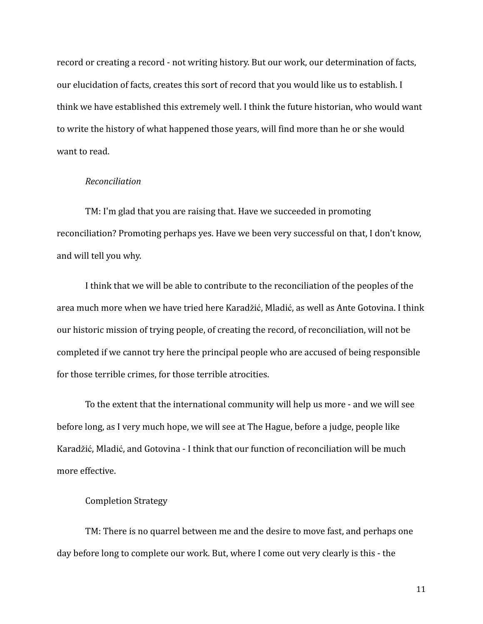record or creating a record - not writing history. But our work, our determination of facts, our elucidation of facts, creates this sort of record that you would like us to establish. I think we have established this extremely well. I think the future historian, who would want to write the history of what happened those years, will find more than he or she would want to read.

#### *Reconciliation*

TM: I'm glad that you are raising that. Have we succeeded in promoting reconciliation? Promoting perhaps yes. Have we been very successful on that, I don't know, and will tell you why.

I think that we will be able to contribute to the reconciliation of the peoples of the area much more when we have tried here Karadžić, Mladić, as well as Ante Gotovina. I think our historic mission of trying people, of creating the record, of reconciliation, will not be completed if we cannot try here the principal people who are accused of being responsible for those terrible crimes, for those terrible atrocities.

To the extent that the international community will help us more - and we will see before long, as I very much hope, we will see at The Hague, before a judge, people like Karadžić, Mladić, and Gotovina - I think that our function of reconciliation will be much more effective.

### Completion Strategy

TM: There is no quarrel between me and the desire to move fast, and perhaps one day before long to complete our work. But, where I come out very clearly is this - the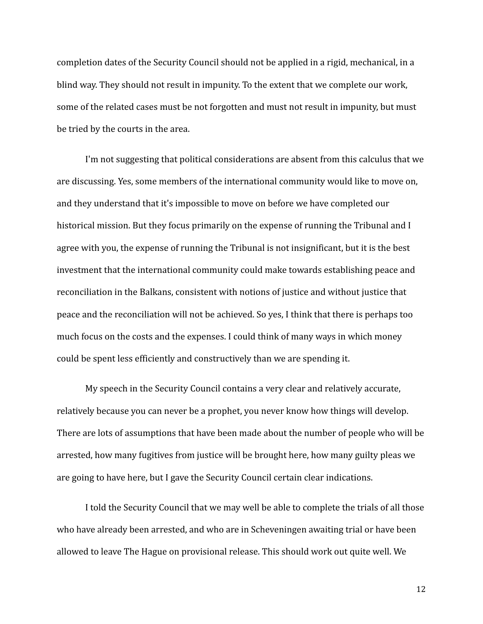completion dates of the Security Council should not be applied in a rigid, mechanical, in a blind way. They should not result in impunity. To the extent that we complete our work, some of the related cases must be not forgotten and must not result in impunity, but must be tried by the courts in the area.

I'm not suggesting that political considerations are absent from this calculus that we are discussing. Yes, some members of the international community would like to move on, and they understand that it's impossible to move on before we have completed our historical mission. But they focus primarily on the expense of running the Tribunal and I agree with you, the expense of running the Tribunal is not insignificant, but it is the best investment that the international community could make towards establishing peace and reconciliation in the Balkans, consistent with notions of justice and without justice that peace and the reconciliation will not be achieved. So yes, I think that there is perhaps too much focus on the costs and the expenses. I could think of many ways in which money could be spent less efficiently and constructively than we are spending it.

My speech in the Security Council contains a very clear and relatively accurate, relatively because you can never be a prophet, you never know how things will develop. There are lots of assumptions that have been made about the number of people who will be arrested, how many fugitives from justice will be brought here, how many guilty pleas we are going to have here, but I gave the Security Council certain clear indications.

I told the Security Council that we may well be able to complete the trials of all those who have already been arrested, and who are in Scheveningen awaiting trial or have been allowed to leave The Hague on provisional release. This should work out quite well. We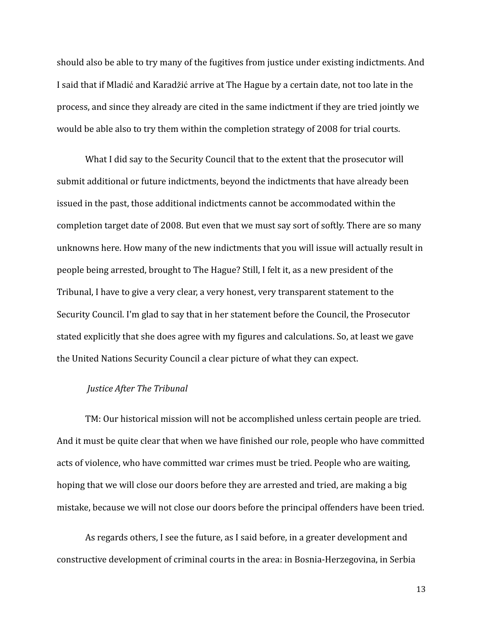should also be able to try many of the fugitives from justice under existing indictments. And I said that if Mladić and Karadžić arrive at The Hague by a certain date, not too late in the process, and since they already are cited in the same indictment if they are tried jointly we would be able also to try them within the completion strategy of 2008 for trial courts.

What I did say to the Security Council that to the extent that the prosecutor will submit additional or future indictments, beyond the indictments that have already been issued in the past, those additional indictments cannot be accommodated within the completion target date of 2008. But even that we must say sort of softly. There are so many unknowns here. How many of the new indictments that you will issue will actually result in people being arrested, brought to The Hague? Still, I felt it, as a new president of the Tribunal, I have to give a very clear, a very honest, very transparent statement to the Security Council. I'm glad to say that in her statement before the Council, the Prosecutor stated explicitly that she does agree with my figures and calculations. So, at least we gave the United Nations Security Council a clear picture of what they can expect.

# *Justice After The Tribunal*

TM: Our historical mission will not be accomplished unless certain people are tried. And it must be quite clear that when we have finished our role, people who have committed acts of violence, who have committed war crimes must be tried. People who are waiting, hoping that we will close our doors before they are arrested and tried, are making a big mistake, because we will not close our doors before the principal offenders have been tried.

As regards others, I see the future, as I said before, in a greater development and constructive development of criminal courts in the area: in Bosnia-Herzegovina, in Serbia